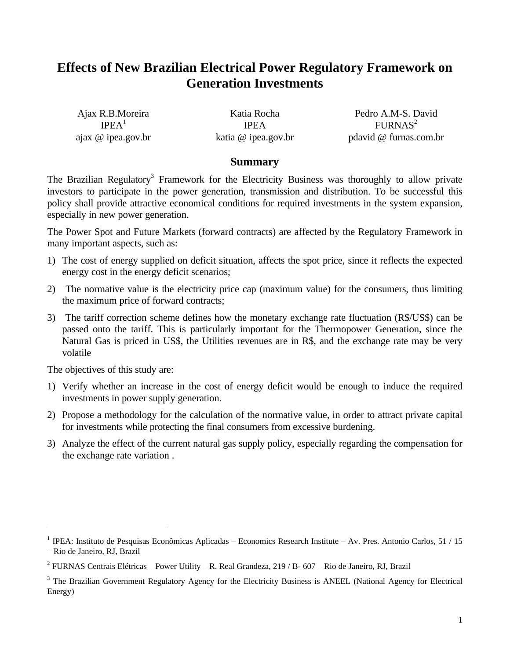# **Effects of New Brazilian Electrical Power Regulatory Framework on Generation Investments**

Ajax R.B.Moreira  $IPEA<sup>1</sup>$ ajax @ ipea.gov.br

Katia Rocha IPEA katia @ ipea.gov.br

Pedro A.M-S. David  $FURNAS<sup>2</sup>$ pdavid @ furnas.com.br

#### **Summary**

The Brazilian Regulatory<sup>3</sup> Framework for the Electricity Business was thoroughly to allow private investors to participate in the power generation, transmission and distribution. To be successful this policy shall provide attractive economical conditions for required investments in the system expansion, especially in new power generation.

The Power Spot and Future Markets (forward contracts) are affected by the Regulatory Framework in many important aspects, such as:

- 1) The cost of energy supplied on deficit situation, affects the spot price, since it reflects the expected energy cost in the energy deficit scenarios;
- 2) The normative value is the electricity price cap (maximum value) for the consumers, thus limiting the maximum price of forward contracts;
- 3) The tariff correction scheme defines how the monetary exchange rate fluctuation (R\$/US\$) can be passed onto the tariff. This is particularly important for the Thermopower Generation, since the Natural Gas is priced in US\$, the Utilities revenues are in R\$, and the exchange rate may be very volatile

The objectives of this study are:

- 1) Verify whether an increase in the cost of energy deficit would be enough to induce the required investments in power supply generation.
- 2) Propose a methodology for the calculation of the normative value, in order to attract private capital for investments while protecting the final consumers from excessive burdening.
- 3) Analyze the effect of the current natural gas supply policy, especially regarding the compensation for the exchange rate variation .

<sup>&</sup>lt;sup>1</sup> IPEA: Instituto de Pesquisas Econômicas Aplicadas – Economics Research Institute – Av. Pres. Antonio Carlos, 51 / 15 – Rio de Janeiro, RJ, Brazil

<sup>&</sup>lt;sup>2</sup> FURNAS Centrais Elétricas – Power Utility – R. Real Grandeza, 219 / B- 607 – Rio de Janeiro, RJ, Brazil

<sup>&</sup>lt;sup>3</sup> The Brazilian Government Regulatory Agency for the Electricity Business is ANEEL (National Agency for Electrical Energy)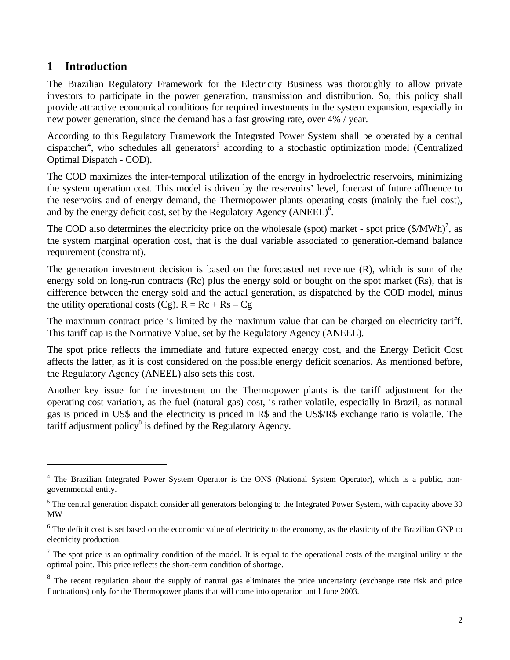### **1 Introduction**

 $\overline{a}$ 

The Brazilian Regulatory Framework for the Electricity Business was thoroughly to allow private investors to participate in the power generation, transmission and distribution. So, this policy shall provide attractive economical conditions for required investments in the system expansion, especially in new power generation, since the demand has a fast growing rate, over 4% / year.

According to this Regulatory Framework the Integrated Power System shall be operated by a central dispatcher<sup>4</sup>, who schedules all generators<sup>5</sup> according to a stochastic optimization model (Centralized Optimal Dispatch - COD).

The COD maximizes the inter-temporal utilization of the energy in hydroelectric reservoirs, minimizing the system operation cost. This model is driven by the reservoirs' level, forecast of future affluence to the reservoirs and of energy demand, the Thermopower plants operating costs (mainly the fuel cost), and by the energy deficit cost, set by the Regulatory Agency  $(ANEEL)^6$ .

The COD also determines the electricity price on the wholesale (spot) market - spot price  $(\frac{C}{MWh})^7$ , as the system marginal operation cost, that is the dual variable associated to generation-demand balance requirement (constraint).

The generation investment decision is based on the forecasted net revenue (R), which is sum of the energy sold on long-run contracts (Rc) plus the energy sold or bought on the spot market (Rs), that is difference between the energy sold and the actual generation, as dispatched by the COD model, minus the utility operational costs (Cg).  $R = Rc + Rs - Cg$ 

The maximum contract price is limited by the maximum value that can be charged on electricity tariff. This tariff cap is the Normative Value, set by the Regulatory Agency (ANEEL).

The spot price reflects the immediate and future expected energy cost, and the Energy Deficit Cost affects the latter, as it is cost considered on the possible energy deficit scenarios. As mentioned before, the Regulatory Agency (ANEEL) also sets this cost.

Another key issue for the investment on the Thermopower plants is the tariff adjustment for the operating cost variation, as the fuel (natural gas) cost, is rather volatile, especially in Brazil, as natural gas is priced in US\$ and the electricity is priced in R\$ and the US\$/R\$ exchange ratio is volatile. The tariff adjustment policy $^{8}$  is defined by the Regulatory Agency.

<sup>&</sup>lt;sup>4</sup> The Brazilian Integrated Power System Operator is the ONS (National System Operator), which is a public, nongovernmental entity.

<sup>&</sup>lt;sup>5</sup> The central generation dispatch consider all generators belonging to the Integrated Power System, with capacity above 30 MW

<sup>&</sup>lt;sup>6</sup> The deficit cost is set based on the economic value of electricity to the economy, as the elasticity of the Brazilian GNP to electricity production.

<sup>&</sup>lt;sup>7</sup> The spot price is an optimality condition of the model. It is equal to the operational costs of the marginal utility at the optimal point. This price reflects the short-term condition of shortage.

 $8$  The recent regulation about the supply of natural gas eliminates the price uncertainty (exchange rate risk and price fluctuations) only for the Thermopower plants that will come into operation until June 2003.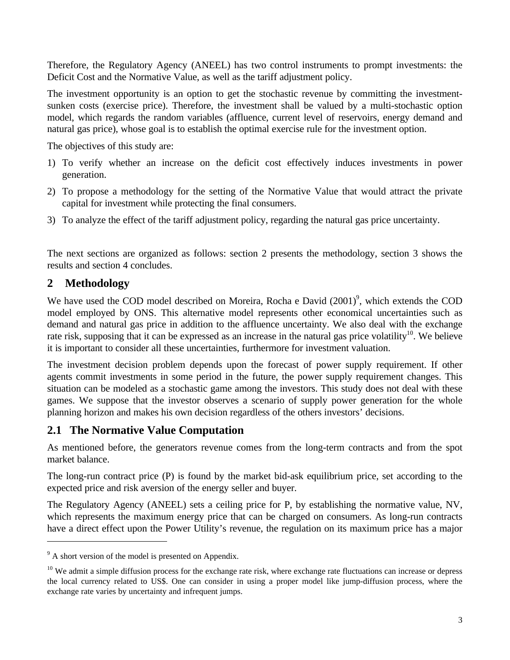Therefore, the Regulatory Agency (ANEEL) has two control instruments to prompt investments: the Deficit Cost and the Normative Value, as well as the tariff adjustment policy.

The investment opportunity is an option to get the stochastic revenue by committing the investmentsunken costs (exercise price). Therefore, the investment shall be valued by a multi-stochastic option model, which regards the random variables (affluence, current level of reservoirs, energy demand and natural gas price), whose goal is to establish the optimal exercise rule for the investment option.

The objectives of this study are:

- 1) To verify whether an increase on the deficit cost effectively induces investments in power generation.
- 2) To propose a methodology for the setting of the Normative Value that would attract the private capital for investment while protecting the final consumers.
- 3) To analyze the effect of the tariff adjustment policy, regarding the natural gas price uncertainty.

The next sections are organized as follows: section 2 presents the methodology, section 3 shows the results and section 4 concludes.

## **2 Methodology**

 $\overline{a}$ 

We have used the COD model described on Moreira, Rocha e David (2001)<sup>9</sup>, which extends the COD model employed by ONS. This alternative model represents other economical uncertainties such as demand and natural gas price in addition to the affluence uncertainty. We also deal with the exchange rate risk, supposing that it can be expressed as an increase in the natural gas price volatility<sup>10</sup>. We believe it is important to consider all these uncertainties, furthermore for investment valuation.

The investment decision problem depends upon the forecast of power supply requirement. If other agents commit investments in some period in the future, the power supply requirement changes. This situation can be modeled as a stochastic game among the investors. This study does not deal with these games. We suppose that the investor observes a scenario of supply power generation for the whole planning horizon and makes his own decision regardless of the others investors' decisions.

## **2.1 The Normative Value Computation**

As mentioned before, the generators revenue comes from the long-term contracts and from the spot market balance.

The long-run contract price (P) is found by the market bid-ask equilibrium price, set according to the expected price and risk aversion of the energy seller and buyer.

The Regulatory Agency (ANEEL) sets a ceiling price for P, by establishing the normative value, NV, which represents the maximum energy price that can be charged on consumers. As long-run contracts have a direct effect upon the Power Utility's revenue, the regulation on its maximum price has a major

 $9^9$  A short version of the model is presented on Appendix.

 $10$  We admit a simple diffusion process for the exchange rate risk, where exchange rate fluctuations can increase or depress the local currency related to US\$. One can consider in using a proper model like jump-diffusion process, where the exchange rate varies by uncertainty and infrequent jumps.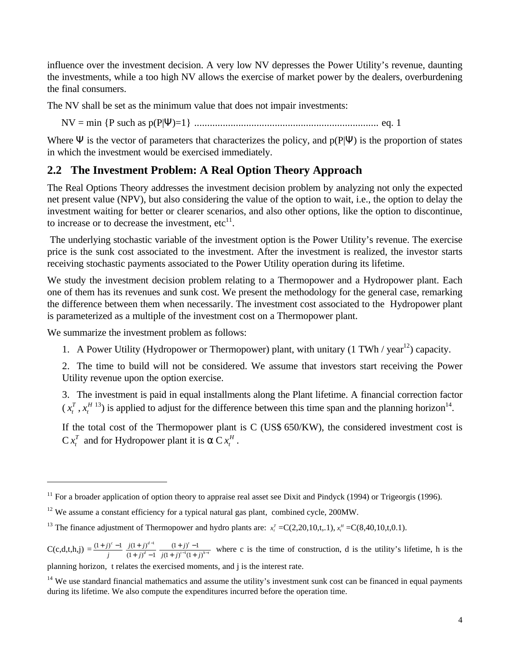influence over the investment decision. A very low NV depresses the Power Utility's revenue, daunting the investments, while a too high NV allows the exercise of market power by the dealers, overburdening the final consumers.

The NV shall be set as the minimum value that does not impair investments:

NV = min {P such as p(P|Ψ)=1} ....................................................................... eq. 1

Where  $\Psi$  is the vector of parameters that characterizes the policy, and  $p(P|\Psi)$  is the proportion of states in which the investment would be exercised immediately.

# **2.2 The Investment Problem: A Real Option Theory Approach**

The Real Options Theory addresses the investment decision problem by analyzing not only the expected net present value (NPV), but also considering the value of the option to wait, i.e., the option to delay the investment waiting for better or clearer scenarios, and also other options, like the option to discontinue, to increase or to decrease the investment,  $etc<sup>11</sup>$ .

 The underlying stochastic variable of the investment option is the Power Utility's revenue. The exercise price is the sunk cost associated to the investment. After the investment is realized, the investor starts receiving stochastic payments associated to the Power Utility operation during its lifetime.

We study the investment decision problem relating to a Thermopower and a Hydropower plant. Each one of them has its revenues and sunk cost. We present the methodology for the general case, remarking the difference between them when necessarily. The investment cost associated to the Hydropower plant is parameterized as a multiple of the investment cost on a Thermopower plant.

We summarize the investment problem as follows:

 $\overline{a}$ 

1. A Power Utility (Hydropower or Thermopower) plant, with unitary (1 TWh / year<sup>12</sup>) capacity.

2. The time to build will not be considered. We assume that investors start receiving the Power Utility revenue upon the option exercise.

3. The investment is paid in equal installments along the Plant lifetime. A financial correction factor  $(x_t^T)$  $x_t^T$ ,  $x_t^H$  $x_t^{H(13)}$  is applied to adjust for the difference between this time span and the planning horizon<sup>14</sup>.

If the total cost of the Thermopower plant is C (US\$ 650/KW), the considered investment cost is  $C x_t^T$  $x_t^T$  and for Hydropower plant it is  $\alpha$  C  $x_t^H$ .

planning horizon, t relates the exercised moments, and j is the interest rate.

 $11$  For a broader application of option theory to appraise real asset see Dixit and Pindyck (1994) or Trigeorgis (1996).

<sup>&</sup>lt;sup>12</sup> We assume a constant efficiency for a typical natural gas plant, combined cycle, 200MW.

<sup>&</sup>lt;sup>13</sup> The finance adjustment of Thermopower and hydro plants are:  $x_i^T = C(2,20,10,t,1), x_i^H = C(8,40,10,t,0.1)$ .

 $C(c,d,t,h,j) = \frac{(1+j)}{j}$  $(1+j)^c - 1$  $(1 + j)^d - 1$  $(1+j)^{d-1}$  $+$  j)<sup>d</sup> –  $(j)^{d-1}$ *d d j*  $\frac{j(1+j)^{d-1}}{j(1+i)^d}$   $\frac{(1+j)^t-1}{(1+i)^{t-1}(1+i)^{h-t}}$ *t*  $j(1+j)^{i-1}(1+j)$  $\frac{(1+j)^t-1}{(1+j)^{t-1}(1+j)^{h-1}}$  $+j)'$  –  $(1 + j)^{t-1}(1 + j)$  $\frac{(1+i)^{t}-1}{(1+i)^{t-t}}$  where c is the time of construction, d is the utility's lifetime, h is the

 $14$  We use standard financial mathematics and assume the utility's investment sunk cost can be financed in equal payments during its lifetime. We also compute the expenditures incurred before the operation time.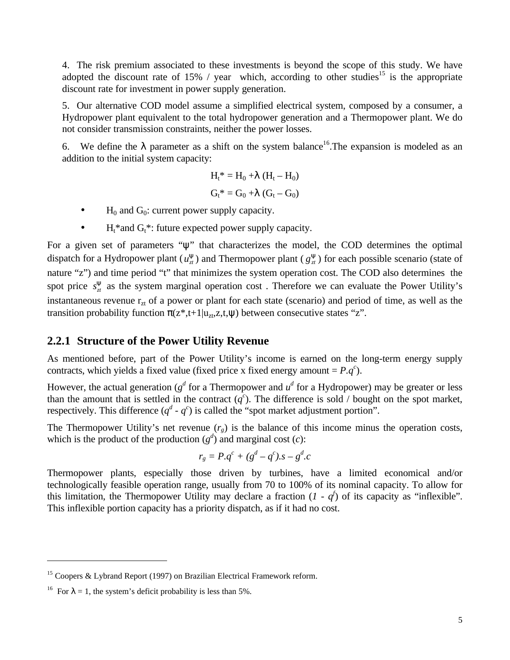4. The risk premium associated to these investments is beyond the scope of this study. We have adopted the discount rate of 15% / year which, according to other studies<sup>15</sup> is the appropriate discount rate for investment in power supply generation.

5. Our alternative COD model assume a simplified electrical system, composed by a consumer, a Hydropower plant equivalent to the total hydropower generation and a Thermopower plant. We do not consider transmission constraints, neither the power losses.

6. We define the  $\lambda$  parameter as a shift on the system balance<sup>16</sup>. The expansion is modeled as an addition to the initial system capacity:

$$
H_t^* = H_0 + \lambda (H_t - H_0)
$$
  

$$
G_t^* = G_0 + \lambda (G_t - G_0)
$$

- $H_0$  and  $G_0$ : current power supply capacity.
- $H_t^*$  and  $G_t^*$ : future expected power supply capacity.

For a given set of parameters "ψ" that characterizes the model, the COD determines the optimal dispatch for a Hydropower plant  $(u_x^{\mathbf{y}})$  and Thermopower plant  $(g_x^{\mathbf{y}})$  for each possible scenario (state of nature "z") and time period "t" that minimizes the system operation cost. The COD also determines the spot price  $s_{\tau}^{\mathbf{y}}$  as the system marginal operation cost. Therefore we can evaluate the Power Utility's instantaneous revenue  $r_{zt}$  of a power or plant for each state (scenario) and period of time, as well as the transition probability function  $\pi(z^*,t+1|u_{zt},z,t,\psi)$  between consecutive states "z".

#### **2.2.1 Structure of the Power Utility Revenue**

As mentioned before, part of the Power Utility's income is earned on the long-term energy supply contracts, which yields a fixed value (fixed price x fixed energy amount =  $P.q^c$ ).

However, the actual generation ( $g^d$  for a Thermopower and  $u^d$  for a Hydropower) may be greater or less than the amount that is settled in the contract  $(q^c)$ . The difference is sold / bought on the spot market, respectively. This difference  $(q^d \cdot q^c)$  is called the "spot market adjustment portion".

The Thermopower Utility's net revenue  $(r_g)$  is the balance of this income minus the operation costs, which is the product of the production  $(g^d)$  and marginal cost  $(c)$ :

$$
r_g = P.q^c + (g^d - q^c).s - g^d.c
$$

Thermopower plants, especially those driven by turbines, have a limited economical and/or technologically feasible operation range, usually from 70 to 100% of its nominal capacity. To allow for this limitation, the Thermopower Utility may declare a fraction  $(I - q^f)$  of its capacity as "inflexible". This inflexible portion capacity has a priority dispatch, as if it had no cost.

<sup>&</sup>lt;sup>15</sup> Coopers & Lybrand Report (1997) on Brazilian Electrical Framework reform.

<sup>&</sup>lt;sup>16</sup> For  $\lambda = 1$ , the system's deficit probability is less than 5%.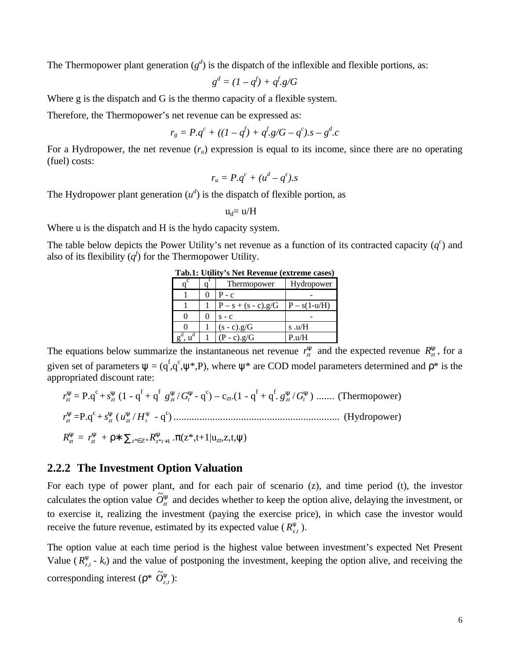The Thermopower plant generation  $(g^d)$  is the dispatch of the inflexible and flexible portions, as:

$$
g^d = (1 - q^f) + q^f \cdot g/G
$$

Where g is the dispatch and G is the thermo capacity of a flexible system.

Therefore, the Thermopower's net revenue can be expressed as:

$$
r_g = P.q^c + ((1-q^f) + q^f.g/G - q^c).s - g^d.c
$$

For a Hydropower, the net revenue  $(r_u)$  expression is equal to its income, since there are no operating (fuel) costs:

$$
r_u = P.q^c + (u^d - q^c).s
$$

The Hydropower plant generation  $(u^d)$  is the dispatch of flexible portion, as

$$
u_d\!\!=u\!/H
$$

Where u is the dispatch and H is the hydo capacity system.

The table below depicts the Power Utility's net revenue as a function of its contracted capacity  $(q<sup>c</sup>)$  and also of its flexibility  $(q^f)$  for the Thermopower Utility.

| Tubit, Cully, Bitter Revielate (Catherine cubeb) |  |                       |                |  |  |
|--------------------------------------------------|--|-----------------------|----------------|--|--|
|                                                  |  | <b>Thermopower</b>    | Hydropower     |  |  |
|                                                  |  | $P - c$               |                |  |  |
|                                                  |  | $P - s + (s - c).g/G$ | $P - s(1-u/H)$ |  |  |
|                                                  |  | $S - C$               |                |  |  |
|                                                  |  | $(s - c).g/G$         | s.u/ $H$       |  |  |
| u                                                |  | $(P - c).g/G$         | P.u/H          |  |  |

**Tab.1: Utility's Net Revenue (extreme cases)**

The equations below summarize the instantaneous net revenue  $r_{\tau}^{\mathbf{y}}$  and the expected revenue  $R_{\tau}^{\mathbf{y}}$ , for a given set of parameters  $\psi = (q^f, q^c, \psi^*, P)$ , where  $\psi^*$  are COD model parameters determined and  $\rho^*$  is the appropriated discount rate:

*y zt r* = P.q<sup>c</sup>+ *y zt s* (1 - q<sup>f</sup> + q<sup>f</sup> *<sup>y</sup> gzt* / *y Gt* - q c ) – czt.(1 - q<sup>f</sup> + q<sup>f</sup> . *y gzt* / *y Gt* ) ....... (Thermopower) *y zt r* =P.q<sup>c</sup>+ *y zt s* ( *y zt u* / *y Ht* - q c ) ................................................................ (Hydropower) *y Rzt* = *y zt r* + ρ∗ ∑*z*\*∈*<sup>Z</sup>* \**R<sup>z</sup>*\**<sup>t</sup>* <sup>+</sup><sup>1</sup> *y* .π(z\*,t+1|uzt,z,t,ψ)

#### **2.2.2 The Investment Option Valuation**

For each type of power plant, and for each pair of scenario (z), and time period (t), the investor calculates the option value  $\tilde{O}^y_{zt}$  and decides whether to keep the option alive, delaying the investment, or to exercise it, realizing the investment (paying the exercise price), in which case the investor would receive the future revenue, estimated by its expected value ( $R^{\mathbf{y}}_{z,t}$ ).

The option value at each time period is the highest value between investment's expected Net Present Value ( $R^y_{z,t}$  -  $k_t$ ) and the value of postponing the investment, keeping the option alive, and receiving the corresponding interest ( $\rho^*$   $\tilde{O}_{z,t}^{\mathbf{y}}$ ):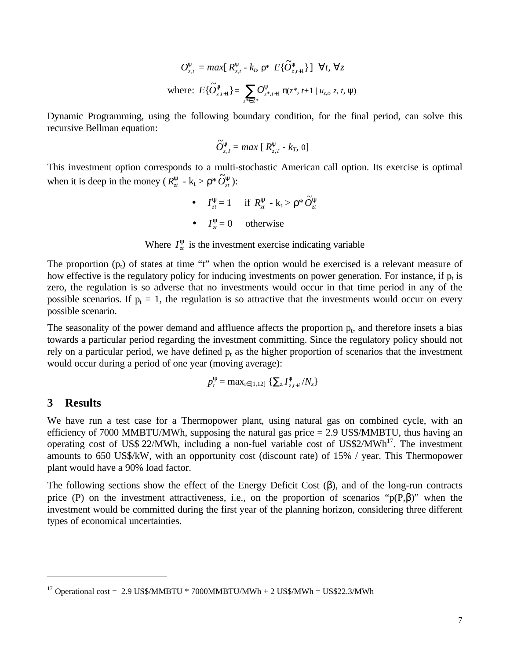$$
O_{z,t}^{y} = \max[R_{z,t}^{y} - k_{t}, \rho^{*} E{\{\tilde{O}_{z,t+1}^{y}\}}] \quad \forall t, \ \forall z
$$
  
where:  $E{\{\tilde{O}_{z,t+1}^{y}\}} = \sum_{z^{*} \in Z^{*}} O_{z^{*}, t+1}^{y} \pi(z^{*}, t+1 | u_{z,t}, z, t, \psi)$ 

Dynamic Programming, using the following boundary condition, for the final period, can solve this recursive Bellman equation:

$$
\widetilde{O}_{z,T}^{\mathbf{y}} = \max\left[\,R_{z,T}^{\mathbf{y}}\cdot k_{T},\,0\,\right]
$$

This investment option corresponds to a multi-stochastic American call option. Its exercise is optimal when it is deep in the money ( $R_z^{\textbf{y}}$  - k<sub>t</sub> >  $\rho^* \tilde{O}_z^{\textbf{y}}$ ):

> •  $I_z^{\mathbf{y}} = 1$  if  $R_z^{\mathbf{y}} - \mathbf{k}_t > \rho^* \widetilde{O}_z^{\mathbf{y}}$ •  $I_{zt}^{\mathbf{y}} = 0$  otherwise

Where  $I_z^{\mathbf{y}}$  is the investment exercise indicating variable

The proportion  $(p_t)$  of states at time "t" when the option would be exercised is a relevant measure of how effective is the regulatory policy for inducing investments on power generation. For instance, if  $p_t$  is zero, the regulation is so adverse that no investments would occur in that time period in any of the possible scenarios. If  $p_t = 1$ , the regulation is so attractive that the investments would occur on every possible scenario.

The seasonality of the power demand and affluence affects the proportion  $p_t$ , and therefore insets a bias towards a particular period regarding the investment committing. Since the regulatory policy should not rely on a particular period, we have defined  $p_t$  as the higher proportion of scenarios that the investment would occur during a period of one year (moving average):

$$
p_t^{\mathbf{y}} = \max_{i \in [1,12]} \left\{ \sum_{z} I_{z,t+i}^{\mathbf{y}} / N_z \right\}
$$

#### **3 Results**

 $\overline{a}$ 

We have run a test case for a Thermopower plant, using natural gas on combined cycle, with an efficiency of 7000 MMBTU/MWh, supposing the natural gas price  $= 2.9$  US\$/MMBTU, thus having an operating cost of US\$ 22/MWh, including a non-fuel variable cost of US\$2/MWh<sup>17</sup>. The investment amounts to 650 US\$/kW, with an opportunity cost (discount rate) of 15% / year. This Thermopower plant would have a 90% load factor.

The following sections show the effect of the Energy Deficit Cost  $(\beta)$ , and of the long-run contracts price (P) on the investment attractiveness, i.e., on the proportion of scenarios " $p(P,\beta)$ " when the investment would be committed during the first year of the planning horizon, considering three different types of economical uncertainties.

<sup>&</sup>lt;sup>17</sup> Operational cost = 2.9 US\$/MMBTU \* 7000MMBTU/MWh + 2 US\$/MWh = US\$22.3/MWh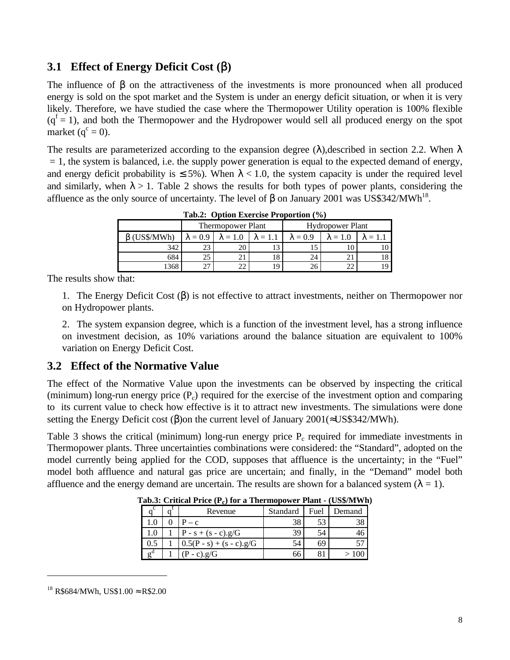### **3.1 Effect of Energy Deficit Cost (**β**)**

The influence of  $\beta$  on the attractiveness of the investments is more pronounced when all produced energy is sold on the spot market and the System is under an energy deficit situation, or when it is very likely. Therefore, we have studied the case where the Thermopower Utility operation is 100% flexible  $(q<sup>f</sup> = 1)$ , and both the Thermopower and the Hydropower would sell all produced energy on the spot market  $(q^c = 0)$ .

The results are parameterized according to the expansion degree ( $\lambda$ ), described in section 2.2. When  $\lambda$  $= 1$ , the system is balanced, i.e. the supply power generation is equal to the expected demand of energy, and energy deficit probability is  $\leq 5\%$ ). When  $\lambda < 1.0$ , the system capacity is under the required level and similarly, when  $\lambda > 1$ . Table 2 shows the results for both types of power plants, considering the affluence as the only source of uncertainty. The level of β on January 2001 was US\$342/MWh<sup>18</sup>.

| Tab.2: Option Exercise Proportion (%) |                 |                          |                 |                 |                         |                 |  |  |
|---------------------------------------|-----------------|--------------------------|-----------------|-----------------|-------------------------|-----------------|--|--|
|                                       |                 | <b>Thermopower Plant</b> |                 |                 | <b>Hydropower Plant</b> |                 |  |  |
| (US\$/MWh)                            | $\lambda = 0.9$ | $\lambda = 1.0$          | $\lambda = 1.1$ | $\lambda = 0.9$ | $\lambda = 1.0$         | $\lambda = 1.1$ |  |  |
| 342                                   | 23              | 20                       |                 |                 | 10                      |                 |  |  |
| 684                                   | 25              |                          | 8               | 24              |                         |                 |  |  |
| 368                                   | つつ              | 22                       | $\overline{Q}$  | 26              |                         |                 |  |  |

**Tab.2: Option Exercise Proportion (%)**

The results show that:

1. The Energy Deficit Cost (β) is not effective to attract investments, neither on Thermopower nor on Hydropower plants.

2. The system expansion degree, which is a function of the investment level, has a strong influence on investment decision, as 10% variations around the balance situation are equivalent to 100% variation on Energy Deficit Cost.

#### **3.2 Effect of the Normative Value**

The effect of the Normative Value upon the investments can be observed by inspecting the critical (minimum) long-run energy price  $(P<sub>c</sub>)$  required for the exercise of the investment option and comparing to its current value to check how effective is it to attract new investments. The simulations were done setting the Energy Deficit cost ( $\beta$ ) on the current level of January 2001(≈US\$342/MWh).

Table 3 shows the critical (minimum) long-run energy price  $P_c$  required for immediate investments in Thermopower plants. Three uncertainties combinations were considered: the "Standard", adopted on the model currently being applied for the COD, supposes that affluence is the uncertainty; in the "Fuel" model both affluence and natural gas price are uncertain; and finally, in the "Demand" model both affluence and the energy demand are uncertain. The results are shown for a balanced system  $(\lambda = 1)$ .

|            | ----                       |          |      | $\sim$ $\sim$ $\sim$ $\sim$ $\sim$ $\sim$ |
|------------|----------------------------|----------|------|-------------------------------------------|
|            | Revenue                    | Standard | Fuel | Demand                                    |
|            | $P - c$                    | 38       | 53   |                                           |
| 1.0        | $P - s + (s - c).g/G$      | 39       | 54   | 46                                        |
| 0.5        | $0.5(P - s) + (s - c).g/G$ | 54       | 69   |                                           |
| $\sigma^d$ | $-c$ ).g/G                 | 66       |      |                                           |

**Tab.3: Critical Price (P<sup>c</sup> ) for a Thermopower Plant - (US\$/MWh)**

<sup>&</sup>lt;sup>18</sup> R\$684/MWh, US\$1.00  $\approx$  R\$2.00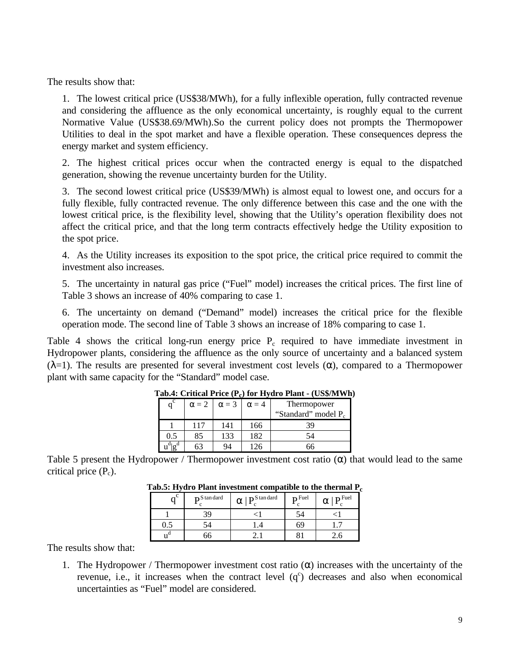The results show that:

1. The lowest critical price (US\$38/MWh), for a fully inflexible operation, fully contracted revenue and considering the affluence as the only economical uncertainty, is roughly equal to the current Normative Value (US\$38.69/MWh).So the current policy does not prompts the Thermopower Utilities to deal in the spot market and have a flexible operation. These consequences depress the energy market and system efficiency.

2. The highest critical prices occur when the contracted energy is equal to the dispatched generation, showing the revenue uncertainty burden for the Utility.

3. The second lowest critical price (US\$39/MWh) is almost equal to lowest one, and occurs for a fully flexible, fully contracted revenue. The only difference between this case and the one with the lowest critical price, is the flexibility level, showing that the Utility's operation flexibility does not affect the critical price, and that the long term contracts effectively hedge the Utility exposition to the spot price.

4. As the Utility increases its exposition to the spot price, the critical price required to commit the investment also increases.

5. The uncertainty in natural gas price ("Fuel" model) increases the critical prices. The first line of Table 3 shows an increase of 40% comparing to case 1.

6. The uncertainty on demand ("Demand" model) increases the critical price for the flexible operation mode. The second line of Table 3 shows an increase of 18% comparing to case 1.

Table 4 shows the critical long-run energy price  $P_c$  required to have immediate investment in Hydropower plants, considering the affluence as the only source of uncertainty and a balanced system ( $λ=1$ ). The results are presented for several investment cost levels (α), compared to a Thermopower plant with same capacity for the "Standard" model case.

|                       |              |              |              | $\frac{1}{2}$                   |
|-----------------------|--------------|--------------|--------------|---------------------------------|
| $\mathsf q^\mathrm c$ | $\alpha = 2$ | $\alpha = 3$ | $\alpha = 4$ | Thermopower                     |
|                       |              |              |              | "Standard" model P <sub>c</sub> |
|                       | 117          | 141          | 166          | 39                              |
| 0.5                   | 85           | 133          | 182          | 54                              |
|                       |              | 94           | 126          | 66                              |

#### **Tab.4: Critical Price (P<sup>c</sup> ) for Hydro Plant - (US\$/MWh)**

Table 5 present the Hydropower / Thermopower investment cost ratio  $(\alpha)$  that would lead to the same critical price  $(P_c)$ .

| $\sim^{\mathcal{C}}$ | $\mathbf{D}$ S tan dard | $\mathbf{D}$ S tan dard<br>α | $\mathbf{D}$ Fuel | $\mathbf{D}$ Fuel<br>α |
|----------------------|-------------------------|------------------------------|-------------------|------------------------|
|                      |                         |                              | . 24              |                        |
| U.J                  |                         |                              |                   |                        |
| .u<br>11             |                         |                              |                   |                        |

| Tab.5: Hydro Plant investment compatible to the thermal $\rm P_c$ |
|-------------------------------------------------------------------|
|-------------------------------------------------------------------|

The results show that:

1. The Hydropower / Thermopower investment cost ratio  $(\alpha)$  increases with the uncertainty of the revenue, i.e., it increases when the contract level  $(q<sup>c</sup>)$  decreases and also when economical uncertainties as "Fuel" model are considered.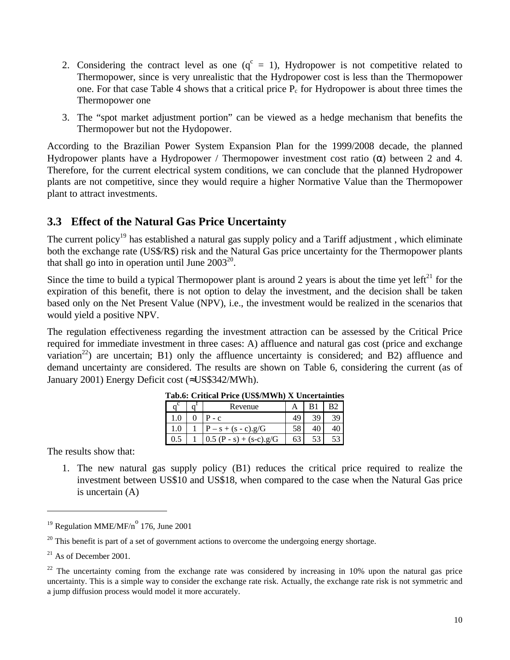- 2. Considering the contract level as one  $(q^c = 1)$ , Hydropower is not competitive related to Thermopower, since is very unrealistic that the Hydropower cost is less than the Thermopower one. For that case Table 4 shows that a critical price  $P_c$  for Hydropower is about three times the Thermopower one
- 3. The "spot market adjustment portion" can be viewed as a hedge mechanism that benefits the Thermopower but not the Hydopower.

According to the Brazilian Power System Expansion Plan for the 1999/2008 decade, the planned Hydropower plants have a Hydropower / Thermopower investment cost ratio (α) between 2 and 4. Therefore, for the current electrical system conditions, we can conclude that the planned Hydropower plants are not competitive, since they would require a higher Normative Value than the Thermopower plant to attract investments.

# **3.3 Effect of the Natural Gas Price Uncertainty**

The current policy<sup>19</sup> has established a natural gas supply policy and a Tariff adjustment, which eliminate both the exchange rate (US\$/R\$) risk and the Natural Gas price uncertainty for the Thermopower plants that shall go into in operation until June  $2003^{20}$ .

Since the time to build a typical Thermopower plant is around 2 years is about the time yet left<sup>21</sup> for the expiration of this benefit, there is not option to delay the investment, and the decision shall be taken based only on the Net Present Value (NPV), i.e., the investment would be realized in the scenarios that would yield a positive NPV.

The regulation effectiveness regarding the investment attraction can be assessed by the Critical Price required for immediate investment in three cases: A) affluence and natural gas cost (price and exchange variation<sup>22</sup>) are uncertain; B1) only the affluence uncertainty is considered; and B2) affluence and demand uncertainty are considered. The results are shown on Table 6, considering the current (as of January 2001) Energy Deficit cost (≈US\$342/MWh).

|  | $\sim$ $\sim$ $\sim$ $\sim$ $\sim$ $\sim$ $\sim$ |    |    |
|--|--------------------------------------------------|----|----|
|  | Revenue                                          |    |    |
|  | $P - C$                                          |    | 30 |
|  | $- s + (s - c).g/G$                              |    |    |
|  | $0.5 (P - s) + (s-c).g/G$                        | 63 |    |

| Tab.6: Critical Price (US\$/MWh) X Uncertainties |  |  |
|--------------------------------------------------|--|--|
|                                                  |  |  |

The results show that:

1. The new natural gas supply policy (B1) reduces the critical price required to realize the investment between US\$10 and US\$18, when compared to the case when the Natural Gas price is uncertain (A)

<sup>&</sup>lt;sup>19</sup> Regulation MME/MF/ $n^{\circ}$  176, June 2001

 $20$  This benefit is part of a set of government actions to overcome the undergoing energy shortage.

 $21$  As of December 2001.

 $^{22}$  The uncertainty coming from the exchange rate was considered by increasing in 10% upon the natural gas price uncertainty. This is a simple way to consider the exchange rate risk. Actually, the exchange rate risk is not symmetric and a jump diffusion process would model it more accurately.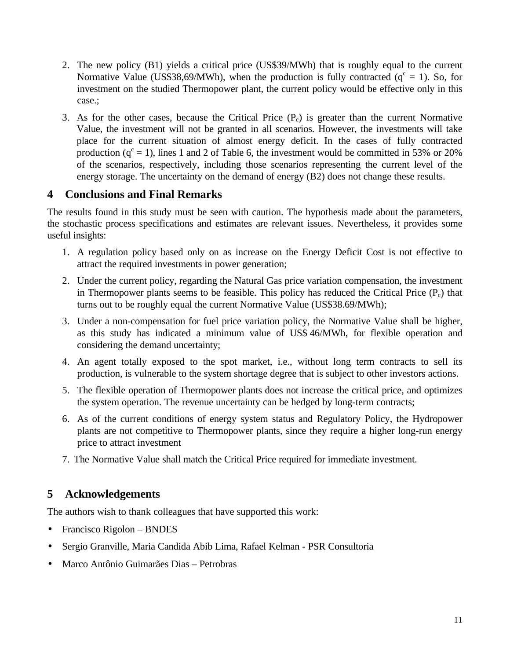- 2. The new policy (B1) yields a critical price (US\$39/MWh) that is roughly equal to the current Normative Value (US\$38,69/MWh), when the production is fully contracted ( $q<sup>c</sup> = 1$ ). So, for investment on the studied Thermopower plant, the current policy would be effective only in this case.;
- 3. As for the other cases, because the Critical Price  $(P_c)$  is greater than the current Normative Value, the investment will not be granted in all scenarios. However, the investments will take place for the current situation of almost energy deficit. In the cases of fully contracted production  $(q^c = 1)$ , lines 1 and 2 of Table 6, the investment would be committed in 53% or 20% of the scenarios, respectively, including those scenarios representing the current level of the energy storage. The uncertainty on the demand of energy (B2) does not change these results.

### **4 Conclusions and Final Remarks**

The results found in this study must be seen with caution. The hypothesis made about the parameters, the stochastic process specifications and estimates are relevant issues. Nevertheless, it provides some useful insights:

- 1. A regulation policy based only on as increase on the Energy Deficit Cost is not effective to attract the required investments in power generation;
- 2. Under the current policy, regarding the Natural Gas price variation compensation, the investment in Thermopower plants seems to be feasible. This policy has reduced the Critical Price  $(P_c)$  that turns out to be roughly equal the current Normative Value (US\$38.69/MWh);
- 3. Under a non-compensation for fuel price variation policy, the Normative Value shall be higher, as this study has indicated a minimum value of US\$ 46/MWh, for flexible operation and considering the demand uncertainty;
- 4. An agent totally exposed to the spot market, i.e., without long term contracts to sell its production, is vulnerable to the system shortage degree that is subject to other investors actions.
- 5. The flexible operation of Thermopower plants does not increase the critical price, and optimizes the system operation. The revenue uncertainty can be hedged by long-term contracts;
- 6. As of the current conditions of energy system status and Regulatory Policy, the Hydropower plants are not competitive to Thermopower plants, since they require a higher long-run energy price to attract investment
- 7. The Normative Value shall match the Critical Price required for immediate investment.

# **5 Acknowledgements**

The authors wish to thank colleagues that have supported this work:

- Francisco Rigolon BNDES
- Sergio Granville, Maria Candida Abib Lima, Rafael Kelman PSR Consultoria
- Marco Antônio Guimarães Dias Petrobras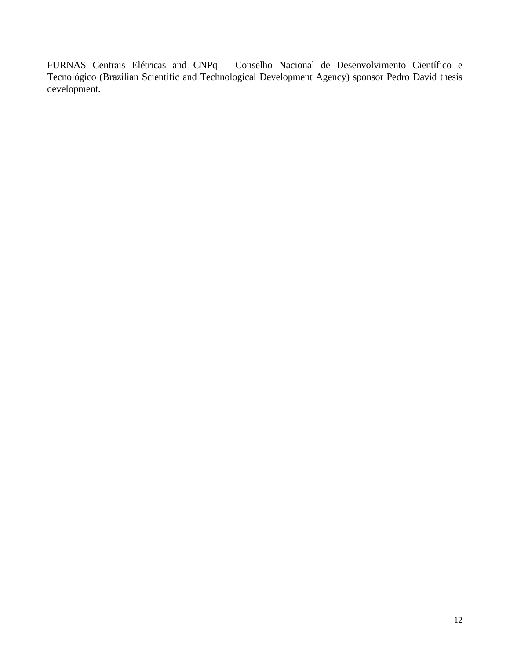FURNAS Centrais Elétricas and CNPq – Conselho Nacional de Desenvolvimento Científico e Tecnológico (Brazilian Scientific and Technological Development Agency) sponsor Pedro David thesis development.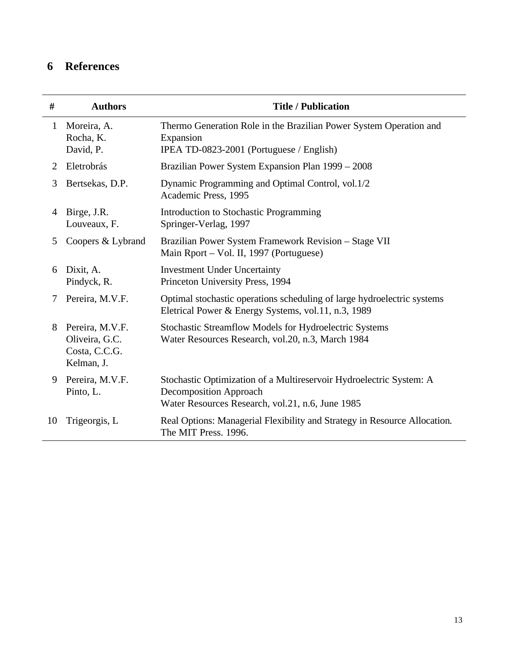# **6 References**

| #              | <b>Authors</b>                                                   | <b>Title / Publication</b>                                                                                                                               |
|----------------|------------------------------------------------------------------|----------------------------------------------------------------------------------------------------------------------------------------------------------|
| $\mathbf{1}$   | Moreira, A.<br>Rocha, K.<br>David, P.                            | Thermo Generation Role in the Brazilian Power System Operation and<br>Expansion<br>IPEA TD-0823-2001 (Portuguese / English)                              |
| $\overline{2}$ | Eletrobrás                                                       | Brazilian Power System Expansion Plan 1999 – 2008                                                                                                        |
| 3              | Bertsekas, D.P.                                                  | Dynamic Programming and Optimal Control, vol.1/2<br>Academic Press, 1995                                                                                 |
| 4              | Birge, J.R.<br>Louveaux, F.                                      | Introduction to Stochastic Programming<br>Springer-Verlag, 1997                                                                                          |
| 5              | Coopers & Lybrand                                                | Brazilian Power System Framework Revision - Stage VII<br>Main Rport – Vol. II, 1997 (Portuguese)                                                         |
| 6              | Dixit, A.<br>Pindyck, R.                                         | <b>Investment Under Uncertainty</b><br>Princeton University Press, 1994                                                                                  |
| 7              | Pereira, M.V.F.                                                  | Optimal stochastic operations scheduling of large hydroelectric systems<br>Eletrical Power & Energy Systems, vol.11, n.3, 1989                           |
| 8              | Pereira, M.V.F.<br>Oliveira, G.C.<br>Costa, C.C.G.<br>Kelman, J. | Stochastic Streamflow Models for Hydroelectric Systems<br>Water Resources Research, vol.20, n.3, March 1984                                              |
| 9              | Pereira, M.V.F.<br>Pinto, L.                                     | Stochastic Optimization of a Multireservoir Hydroelectric System: A<br><b>Decomposition Approach</b><br>Water Resources Research, vol.21, n.6, June 1985 |
| 10             | Trigeorgis, L                                                    | Real Options: Managerial Flexibility and Strategy in Resource Allocation.<br>The MIT Press. 1996.                                                        |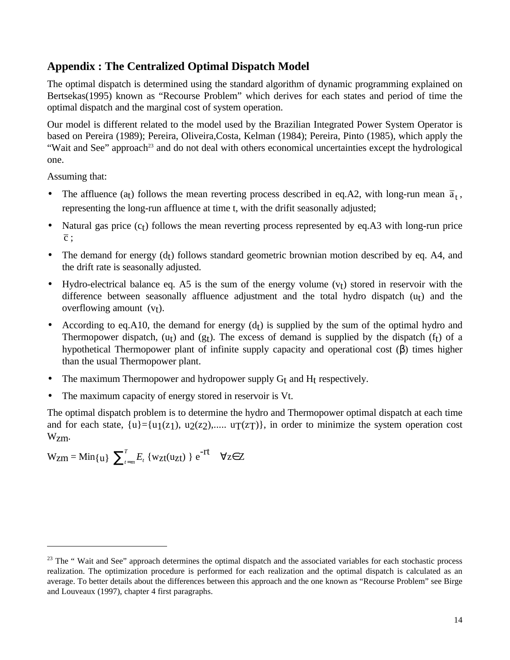## **Appendix : The Centralized Optimal Dispatch Model**

The optimal dispatch is determined using the standard algorithm of dynamic programming explained on Bertsekas(1995) known as "Recourse Problem" which derives for each states and period of time the optimal dispatch and the marginal cost of system operation.

Our model is different related to the model used by the Brazilian Integrated Power System Operator is based on Pereira (1989); Pereira, Oliveira,Costa, Kelman (1984); Pereira, Pinto (1985), which apply the "Wait and See" approach<sup>23</sup> and do not deal with others economical uncertainties except the hydrological one.

Assuming that:

 $\overline{a}$ 

- The affluence (a<sub>t</sub>) follows the mean reverting process described in eq.A2, with long-run mean  $\bar{a}_t$ , representing the long-run affluence at time t, with the drifit seasonally adjusted;
- Natural gas price  $(c<sub>t</sub>)$  follows the mean reverting process represented by eq.A3 with long-run price  $\overline{c}$ :
- The demand for energy  $(d<sub>t</sub>)$  follows standard geometric brownian motion described by eq. A4, and the drift rate is seasonally adjusted.
- Hydro-electrical balance eq. A5 is the sum of the energy volume  $(v<sub>t</sub>)$  stored in reservoir with the difference between seasonally affluence adjustment and the total hydro dispatch  $(u<sub>t</sub>)$  and the overflowing amount  $(v<sub>t</sub>)$ .
- According to eq.A10, the demand for energy  $(d<sub>t</sub>)$  is supplied by the sum of the optimal hydro and Thermopower dispatch,  $(u_t)$  and  $(g_t)$ . The excess of demand is supplied by the dispatch  $(f_t)$  of a hypothetical Thermopower plant of infinite supply capacity and operational cost (β) times higher than the usual Thermopower plant.
- The maximum Thermopower and hydropower supply  $G_t$  and  $H_t$  respectively.
- The maximum capacity of energy stored in reservoir is Vt.

The optimal dispatch problem is to determine the hydro and Thermopower optimal dispatch at each time and for each state,  $\{u\} = \{u_1(z_1), u_2(z_2), \dots, u_T(z_T)\}$ , in order to minimize the system operation cost Wzm.

 $W_{Zm} = Min\{u\}$   $\sum_{t=1}^{T}$  $\sum_{t=m}^{T} E_t \{ w_{Zt}(u_{Zt}) \} e^{-rt} \quad \forall z \in Z$ 

 $2<sup>3</sup>$  The "Wait and See" approach determines the optimal dispatch and the associated variables for each stochastic process realization. The optimization procedure is performed for each realization and the optimal dispatch is calculated as an average. To better details about the differences between this approach and the one known as "Recourse Problem" see Birge and Louveaux (1997), chapter 4 first paragraphs.